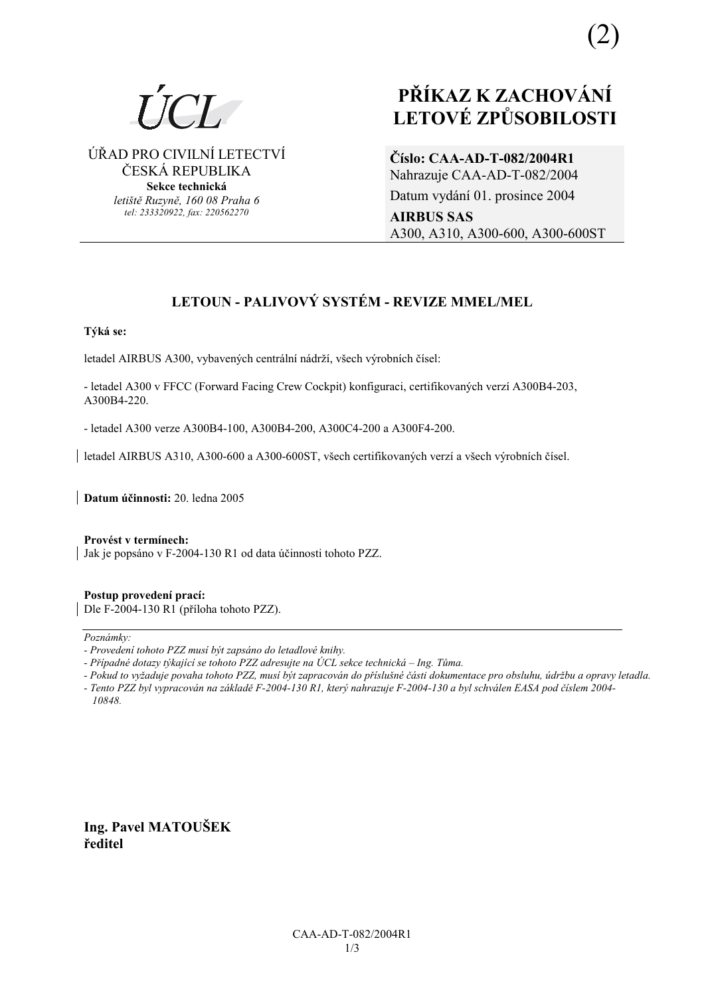

(2)

ÚŘAD PRO CIVILNÍ LETECTVÍ ČESKÁ REPUBLIKA **Sekce technická** 

> *letiötě Ruzyně, 160 08 Praha 6 tel: 233320922, fax: 220562270*

# **PŘÍKAZ K ZACHOVÁNÍ LETOV… ZPŮSOBILOSTI**

**ČÌslo: CAA-AD-T-082/2004R1** Nahrazuje CAA-AD-T-082/2004 Datum vydání 01. prosince 2004 **AIRBUS SAS**  A300, A310, A300-600, A300-600ST

# **LETOUN - PALIVOVÝ SYSTÉM - REVIZE MMEL/MEL**

# Týká se:

letadel AIRBUS A300, vybavených centrální nádrží, všech výrobních čísel:

- letadel A300 v FFCC (Forward Facing Crew Cockpit) konfiguraci, certifikovaných verzí A300B4-203, A300B4-220.

- letadel A300 verze A300B4-100, A300B4-200, A300C4-200 a A300F4-200.

letadel AIRBUS A310, A300-600 a A300-600ST, všech certifikovaných verzí a všech výrobních čísel.

**Datum ˙činnosti:** 20. ledna 2005

Provést v termínech: | Jak je popsáno v F-2004-130 R1 od data účinnosti tohoto PZZ.

**Postup provedenÌ pracÌ:**  Dle F-2004-130 R1 (příloha tohoto PZZ).

Poznámky:

*10848.* 

**Ing. Pavel MATOUäEK ředitel** 

*<sup>-</sup> ProvedenÌ tohoto PZZ musÌ b˝t zaps·no do letadlovÈ knihy.* 

<sup>-</sup> Případné dotazy týkající se tohoto PZZ adresujte na ÚCL sekce technická – Ing. Tůma.

*<sup>-</sup> Pokud to vyûaduje povaha tohoto PZZ, musÌ b˝t zapracov·n do přÌsluönÈ č·sti dokumentace pro obsluhu, ˙drûbu a opravy letadla. - Tento PZZ byl vypracov·n na z·kladě F-2004-130 R1, kter˝ nahrazuje F-2004-130 a byl schv·len EASA pod čÌslem 2004-*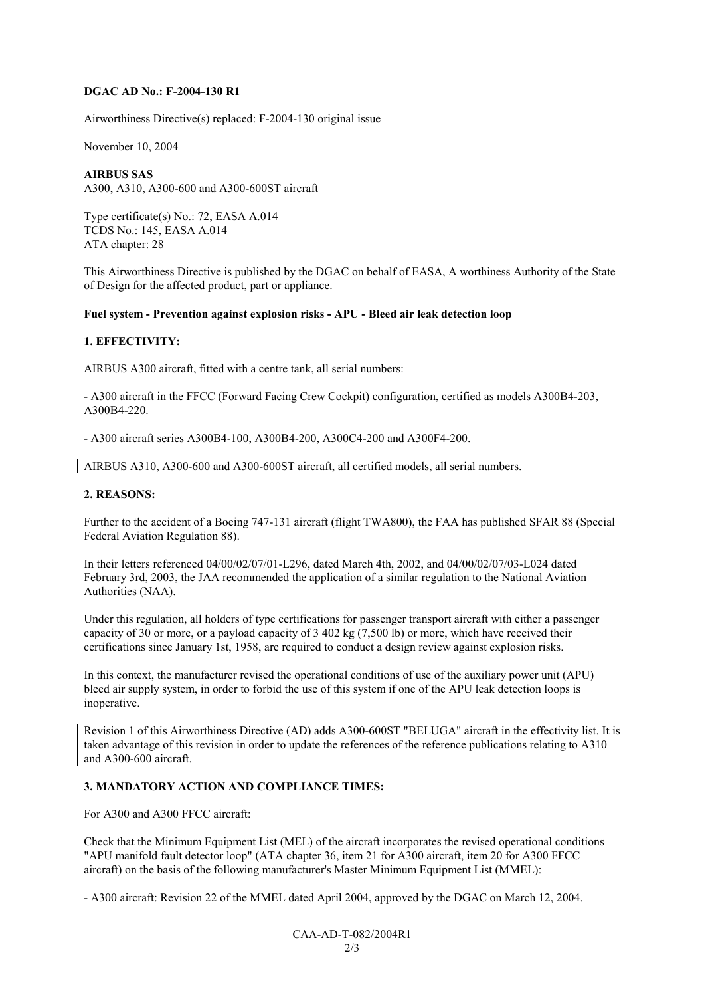#### **DGAC AD No.: F-2004-130 R1**

Airworthiness Directive(s) replaced: F-2004-130 original issue

November 10, 2004

#### **AIRBUS SAS**

A300, A310, A300-600 and A300-600ST aircraft

Type certificate(s) No.: 72, EASA A.014 TCDS No.: 145, EASA A.014 ATA chapter: 28

This Airworthiness Directive is published by the DGAC on behalf of EASA, A worthiness Authority of the State of Design for the affected product, part or appliance.

#### **Fuel system - Prevention against explosion risks - APU - Bleed air leak detection loop**

#### **1. EFFECTIVITY:**

AIRBUS A300 aircraft, fitted with a centre tank, all serial numbers:

- A300 aircraft in the FFCC (Forward Facing Crew Cockpit) configuration, certified as models A300B4-203, A300B4-220.

- A300 aircraft series A300B4-100, A300B4-200, A300C4-200 and A300F4-200.

AIRBUS A310, A300-600 and A300-600ST aircraft, all certified models, all serial numbers.

#### **2. REASONS:**

Further to the accident of a Boeing 747-131 aircraft (flight TWA800), the FAA has published SFAR 88 (Special Federal Aviation Regulation 88).

In their letters referenced 04/00/02/07/01-L296, dated March 4th, 2002, and 04/00/02/07/03-L024 dated February 3rd, 2003, the JAA recommended the application of a similar regulation to the National Aviation Authorities (NAA).

Under this regulation, all holders of type certifications for passenger transport aircraft with either a passenger capacity of 30 or more, or a payload capacity of 3 402 kg (7,500 lb) or more, which have received their certifications since January 1st, 1958, are required to conduct a design review against explosion risks.

In this context, the manufacturer revised the operational conditions of use of the auxiliary power unit (APU) bleed air supply system, in order to forbid the use of this system if one of the APU leak detection loops is inoperative.

Revision 1 of this Airworthiness Directive (AD) adds A300-600ST "BELUGA" aircraft in the effectivity list. It is taken advantage of this revision in order to update the references of the reference publications relating to A310 and A300-600 aircraft.

# **3. MANDATORY ACTION AND COMPLIANCE TIMES:**

For A300 and A300 FFCC aircraft:

Check that the Minimum Equipment List (MEL) of the aircraft incorporates the revised operational conditions "APU manifold fault detector loop" (ATA chapter 36, item 21 for A300 aircraft, item 20 for A300 FFCC aircraft) on the basis of the following manufacturer's Master Minimum Equipment List (MMEL):

- A300 aircraft: Revision 22 of the MMEL dated April 2004, approved by the DGAC on March 12, 2004.